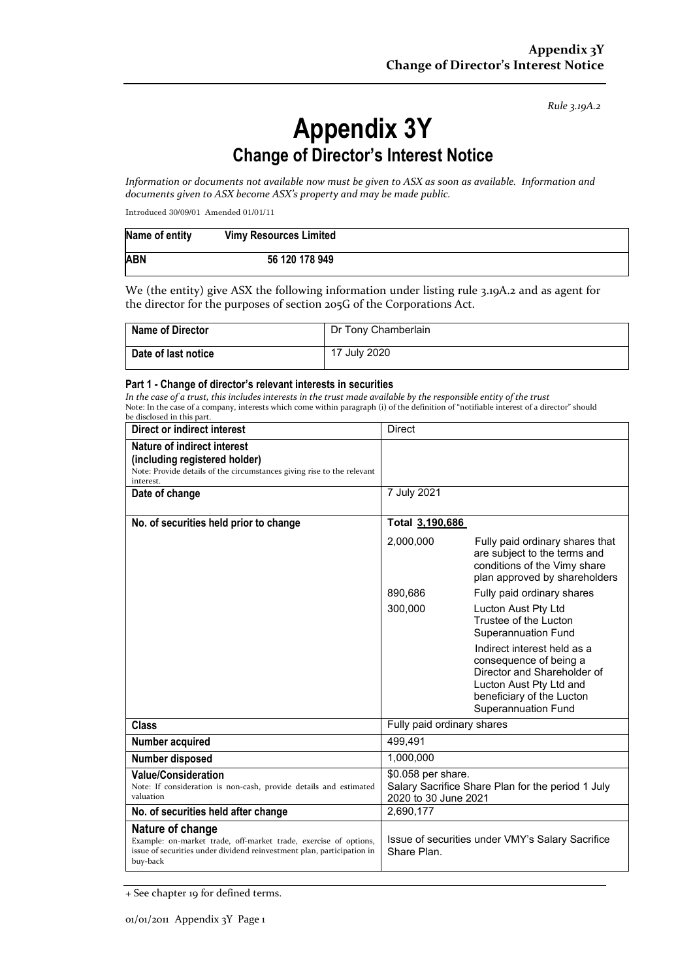*Rule 3.19A.2*

## **Appendix 3Y Change of Director's Interest Notice**

*Information or documents not available now must be given to ASX as soon as available. Information and documents given to ASX become ASX's property and may be made public.*

Introduced 30/09/01 Amended 01/01/11

| Name of entity | <b>Vimy Resources Limited</b> |  |
|----------------|-------------------------------|--|
| <b>ABN</b>     | 56 120 178 949                |  |

We (the entity) give ASX the following information under listing rule 3.19A.2 and as agent for the director for the purposes of section 205G of the Corporations Act.

| <b>Name of Director</b> | Dr Tony Chamberlain |
|-------------------------|---------------------|
| Date of last notice     | 17 July 2020        |

## **Part 1 - Change of director's relevant interests in securities**

*In the case of a trust, this includes interests in the trust made available by the responsible entity of the trust* Note: In the case of a company, interests which come within paragraph (i) of the definition of "notifiable interest of a director" should be disclosed in this part.

| Direct or indirect interest                                                                                                                                                | <b>Direct</b>                                                                                   |                                                                                                                                                                            |  |
|----------------------------------------------------------------------------------------------------------------------------------------------------------------------------|-------------------------------------------------------------------------------------------------|----------------------------------------------------------------------------------------------------------------------------------------------------------------------------|--|
| Nature of indirect interest<br>(including registered holder)<br>Note: Provide details of the circumstances giving rise to the relevant<br>interest.                        |                                                                                                 |                                                                                                                                                                            |  |
| Date of change                                                                                                                                                             | 7 July 2021                                                                                     |                                                                                                                                                                            |  |
| No. of securities held prior to change                                                                                                                                     | Total 3,190,686                                                                                 |                                                                                                                                                                            |  |
|                                                                                                                                                                            | 2,000,000                                                                                       | Fully paid ordinary shares that<br>are subject to the terms and<br>conditions of the Vimy share<br>plan approved by shareholders                                           |  |
|                                                                                                                                                                            | 890,686                                                                                         | Fully paid ordinary shares                                                                                                                                                 |  |
|                                                                                                                                                                            | 300,000                                                                                         | Lucton Aust Pty Ltd<br>Trustee of the Lucton<br><b>Superannuation Fund</b>                                                                                                 |  |
|                                                                                                                                                                            |                                                                                                 | Indirect interest held as a<br>consequence of being a<br>Director and Shareholder of<br>Lucton Aust Pty Ltd and<br>beneficiary of the Lucton<br><b>Superannuation Fund</b> |  |
| <b>Class</b>                                                                                                                                                               | Fully paid ordinary shares                                                                      |                                                                                                                                                                            |  |
| Number acquired                                                                                                                                                            | 499,491                                                                                         |                                                                                                                                                                            |  |
| Number disposed                                                                                                                                                            | 1,000,000                                                                                       |                                                                                                                                                                            |  |
| <b>Value/Consideration</b><br>Note: If consideration is non-cash, provide details and estimated<br>valuation                                                               | \$0.058 per share.<br>Salary Sacrifice Share Plan for the period 1 July<br>2020 to 30 June 2021 |                                                                                                                                                                            |  |
| No. of securities held after change                                                                                                                                        | 2,690,177                                                                                       |                                                                                                                                                                            |  |
| Nature of change<br>Example: on-market trade, off-market trade, exercise of options,<br>issue of securities under dividend reinvestment plan, participation in<br>buy-back | Issue of securities under VMY's Salary Sacrifice<br>Share Plan.                                 |                                                                                                                                                                            |  |

+ See chapter 19 for defined terms.